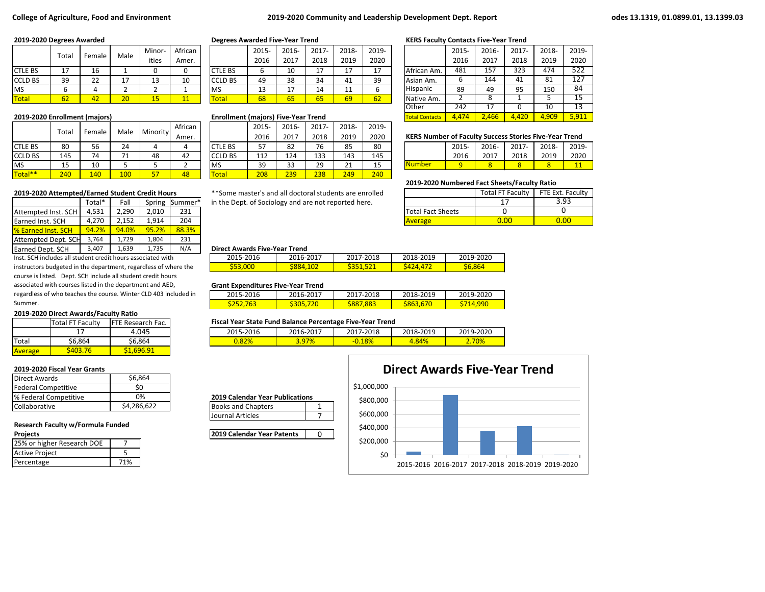# **College of Agriculture, Food and Environment 2019-2020 Community and Leadership Development Dept. Report odes 13.1319, 01.0899.01, 13.1399.03**

|                | Total        |                           | Male                          | Minor-                              | African |                 | 2015- | 2016-                 | $2017 -$ | 2018-    | 2019-       |             | 2015 | 2016- | 2017- | 2018- | 2019 |
|----------------|--------------|---------------------------|-------------------------------|-------------------------------------|---------|-----------------|-------|-----------------------|----------|----------|-------------|-------------|------|-------|-------|-------|------|
|                |              | Female                    |                               | ities                               | Amer.   |                 | 2016  | 2017                  | 2018     | 2019     | 2020        |             | 2016 | 2017  | 2018  | 2019  | 2020 |
| <b>CTLE BS</b> | 17<br>--     | 16                        |                               |                                     |         | <b>CTLE BS</b>  | D     | 10                    | 17<br>⊥  | 17       | $1 -$<br>∸′ | African Am. | 481  | 157   | 323   | 474   | 522  |
| <b>CCLD BS</b> | 39           | $\mathbf{a}$<br><u>__</u> | <b>. .</b>                    | 1つ<br>ᅩ                             | 10      | <b>ICCLD BS</b> | 49    | 38                    | 34       | 41       | 39          | Asian Am.   |      | 144   | 41    | 81    | 127  |
| <b>MS</b>      |              |                           |                               |                                     |         | <b>IMS</b>      | ∸     | $\overline{ }$<br>. . | 14       | 44<br>-- |             | Hispanic    | 89   | 49    | 95    | 150   | 84   |
| <b>Total</b>   | $\sim$<br>bΖ | 74 A                      | $\overline{\mathbf{a}}$<br>2U | $\overline{A}$ $\overline{C}$<br>-- | 11      | <b>Total</b>    | 68    | 65                    | 65       | 69       | 62          | Native Am.  |      |       |       |       | 15   |

|                | Total |        | Male       | Minority | African |                | 2015 | 2016- | 2017- | 2018-   | 2019- |                                                               |      |       |          |       |       |
|----------------|-------|--------|------------|----------|---------|----------------|------|-------|-------|---------|-------|---------------------------------------------------------------|------|-------|----------|-------|-------|
|                |       | Female |            |          | Amer.   |                | 2016 | 2017  | 2018  | 2019    | 2020  | <b>KERS Number of Faculty Success Stories Five-Year Trend</b> |      |       |          |       |       |
| <b>CTLE BS</b> | 80    | 56     | 24         |          |         | <b>CTLE BS</b> | 57   | 82    | 76    | 85      | 80    |                                                               | 2015 | 2016- | $2017 -$ | 2018- | 2019- |
| <b>CCLD BS</b> | 145   | 74     | 74         | 48       | 42      | <b>CCLD BS</b> | 112  | 124   | 133   | 143     | 145   |                                                               | 2016 | 2017  | 2018     | 2019  | 2020  |
| <b>MS</b>      | ᅩ     | 10     |            |          |         | <b>IMS</b>     | 39   | 33    | 29    | 21<br>ᅩ | 15    | <b>Number</b>                                                 |      |       | $\circ$  | 8     |       |
| Total**        | 240   | 140    | <b>100</b> | 57       | 48      | Total          | 208  | 239   | 238   | 249     | 240   |                                                               |      |       |          |       |       |

|                            | Total* | Fall  |       | Spring Summer* | in the Dept. of Sociology and are not reported here. |                          |
|----------------------------|--------|-------|-------|----------------|------------------------------------------------------|--------------------------|
| Attempted Inst. SCH        | 4.531  | 2.290 | 2.010 | 231            |                                                      | <b>Total Fact Sheets</b> |
| <b>Earned Inst. SCH</b>    | 4.270  | 2.152 | 1.914 | 204            |                                                      | <b>Average</b>           |
| <b>1% Earned Inst. SCH</b> | 94.2%  | 94.0% | 95.2% | 88.3%          |                                                      |                          |
| Attempted Dept. SCH        | 3.764  | 1.729 | 804   | 231            |                                                      |                          |
| Earned Dept. SCH           | 3,407  | 1,639 | 1,735 | N/A            | <b>Direct Awards Five-Year Trend</b>                 |                          |

Inst. SCH includes all student credit hours associated with instructors budgeted in the department, regardless of where the course is listed. Dept. SCH include all student credit hours associated with courses listed in the department and AED, regardless of who teaches the course. Winter CLD 403 included in Summer.

### **2019-2020 Direct Awards/Faculty Ratio**

|         | <b>Total FT Faculty</b> | <b>FTE Research Fac.</b> |  |  |
|---------|-------------------------|--------------------------|--|--|
|         | 17                      | 4.045                    |  |  |
| Total   | \$6,864                 | \$6,864                  |  |  |
| Average |                         | S1.696.91                |  |  |

# **2019-2020 Fiscal Year Grants**

| <b>Direct Awards</b>       | \$6,864     |  |  |  |
|----------------------------|-------------|--|--|--|
| <b>Federal Competitive</b> | S۵          |  |  |  |
| % Federal Competitive      | 0%          |  |  |  |
| Collaborative              | \$4,286,622 |  |  |  |

# **Research Faculty w/Formula Funded**

| 25% or higher Research DOE |     |
|----------------------------|-----|
| Active Project             |     |
| Percentage                 | 71% |

|                | 2015- | 2016- | 2017- | 2018- | 2019- |
|----------------|-------|-------|-------|-------|-------|
|                | 2016  | 2017  | 2018  | 2019  | 2020  |
| <b>CTLE BS</b> | 6     | 10    | 17    | 17    | 17    |
| <b>CCLD BS</b> | 49    | 38    | 34    | 41    | 39    |
| <b>MS</b>      | 13    | 17    | 14    | 11    |       |
| 'otal          | 68    | 65    | 65    |       |       |

### **2019-2020 Enrollment (majors) <b>Enrollment (majors** Enrollment (majors) Five-Year Trend

|                | 2015- | 2016- | 2017- | 2018- | 2019- |
|----------------|-------|-------|-------|-------|-------|
|                | 2016  | 2017  | 2018  | 2019  | 2020  |
| <b>CTLE BS</b> | 57    | 82    | 76    | 85    | 80    |
| <b>CCLD BS</b> | 112   | 124   | 133   | 143   | 145   |
| <b>MS</b>      | 39    | 33    | 29    | 21    | 15    |
| Total          | 208   | 239   | 238   | 249   | 240   |

**2019-2020 Attempted/Earned Student Credit Hours** \*\*Some master's and all doctoral students are enrolled in the Dept. of Sociology and are not reported here.

# **2019-2020 Degrees Awarded Degrees Awarded Five-Year Trend KERS Faculty Contacts Five-Year Trend**

|                       | 2015-         | 2016- | 2017- | 2018- | 2019- |
|-----------------------|---------------|-------|-------|-------|-------|
|                       | 2016          | 2017  | 2018  | 2019  | 2020  |
| African Am.           | 481           | 157   | 323   | 474   | 522   |
| Asian Am.             | 6             | 144   | 41    | 81    | 127   |
| Hispanic              | 89            | 49    | 95    | 150   | 84    |
| Native Am.            | $\mathcal{P}$ | 8     | 1     | .5    | 15    |
| Other                 | 242           | 17    | 0     | 10    | 13    |
| <b>Total Contacts</b> | 4.474         | 2,466 | 4.420 | 4.909 | 5,911 |

# **KERS Number of Faculty Success Stories Five-Year Trend**

|          | 2015- | 2016- | 2017- | $\mid$ 2018- | 2019- |
|----------|-------|-------|-------|--------------|-------|
|          | 2016  | 2017  | 2018  | 2019         | 2020  |
| l Number |       |       |       |              |       |

# **2019-2020 Numbered Fact Sheets/Faculty Ratio**

|                          | <b>Total FT Faculty</b> | FTE Ext. Faculty |
|--------------------------|-------------------------|------------------|
|                          |                         | 3.93             |
| <b>Total Fact Sheets</b> |                         |                  |
| Average                  |                         |                  |

# 3,407 1,639 1,735 N/A **Direct Awards Five-Year Trend**

| 2015-2016 | 2016-2017 | 2017-2018 | 2018-2019            | 2019-2020 |  |  |  |  |  |  |
|-----------|-----------|-----------|----------------------|-----------|--|--|--|--|--|--|
| \$53,000  | S884.102  | S351,521  | $S$ 424.47 $\lambda$ | S6.864    |  |  |  |  |  |  |

# **Grant Expenditures Five-Year Trend**

| 2015-2016         | 2016-2017 | 7-2018<br>201 | 2018-2019  | 2019-2020 |
|-------------------|-----------|---------------|------------|-----------|
| 76<br>, .<br>عرےر | 20        | 883<br>юo     | 863<br>b/U | agr       |

# Fiscal Year State Fund Balance Percentage Five-Year Trend

|           | -              |           |           |           |  |  |  |  |  |  |
|-----------|----------------|-----------|-----------|-----------|--|--|--|--|--|--|
| 2015-2016 | 2016-2017      | 2017-2018 | 2018-2019 | 2019-2020 |  |  |  |  |  |  |
| 0.82%     | 7%<br>a<br>J.J | $-0.18%$  | 4.84%     | 2.70%     |  |  |  |  |  |  |

# **2019 Calendar Year Publications**

Books and Chapters 1 Journal Articles 7

**Projects 2019 Calendar Year Patents** 0